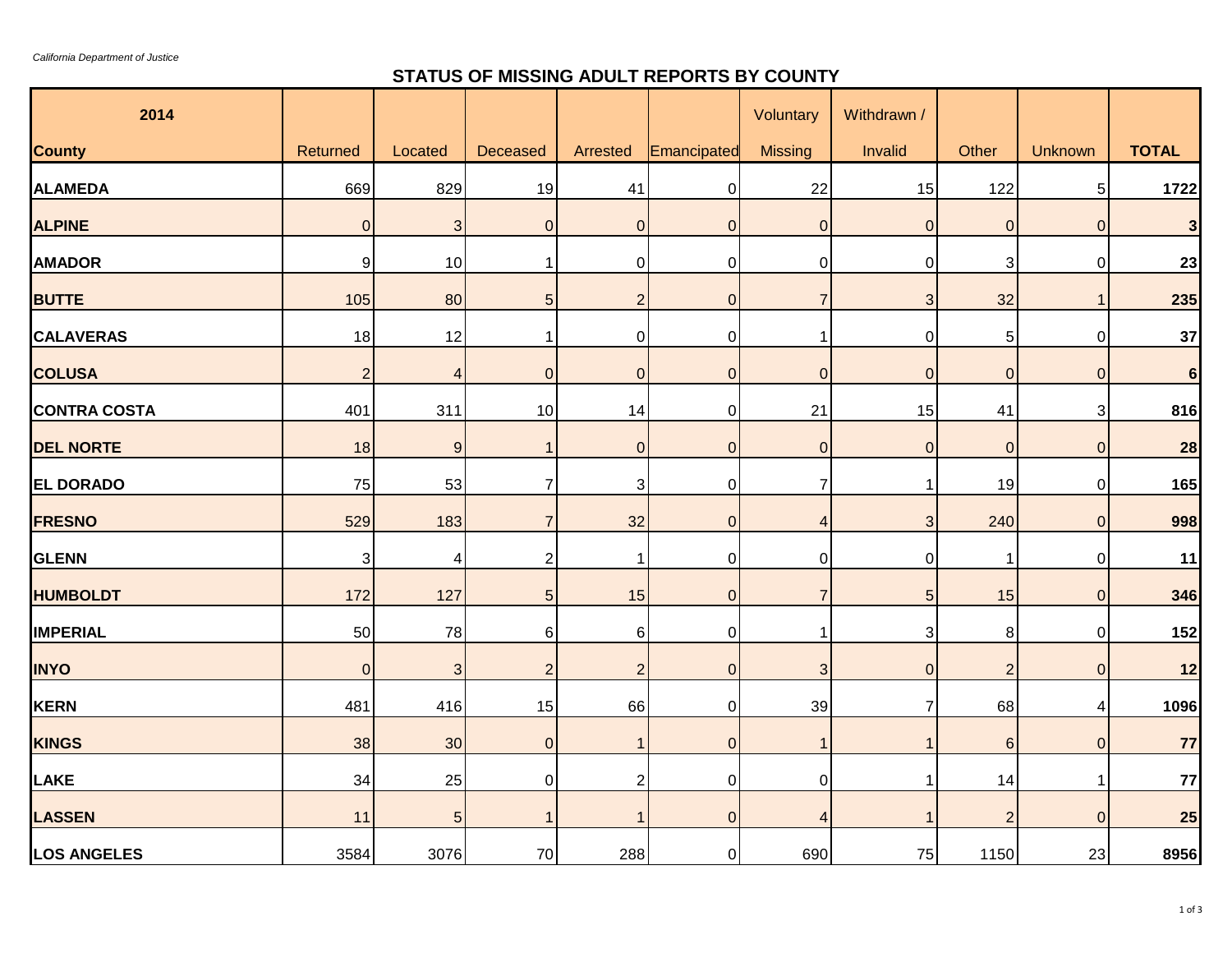*California Department of Justice*

## **STATUS OF MISSING ADULT REPORTS BY COUNTY**

| 2014                |                  |                |                 |                         |                | Voluntary      | Withdrawn /    |                 |                |                |
|---------------------|------------------|----------------|-----------------|-------------------------|----------------|----------------|----------------|-----------------|----------------|----------------|
| <b>County</b>       | Returned         | Located        | Deceased        | Arrested                | Emancipated    | <b>Missing</b> | Invalid        | Other           | Unknown        | <b>TOTAL</b>   |
| <b>ALAMEDA</b>      | 669              | 829            | 19              | 41                      | $\mathbf 0$    | 22             | 15             | 122             | 5 <sub>5</sub> | 1722           |
| <b>ALPINE</b>       | $\boldsymbol{0}$ | $\mathbf{3}$   | $\overline{0}$  | 0                       | $\mathbf{0}$   | $\overline{0}$ | $\overline{0}$ | $\pmb{0}$       | $\pmb{0}$      | $\mathbf{3}$   |
| <b>AMADOR</b>       | 9                | 10             | $\mathbf{1}$    | 0                       | $\mathbf 0$    | $\mathbf 0$    | $\pmb{0}$      | 3               | $\pmb{0}$      | 23             |
| <b>BUTTE</b>        | 105              | 80             | $\sqrt{5}$      | $\overline{\mathbf{c}}$ | $\overline{0}$ | $\overline{7}$ | $\mathbf{3}$   | 32              | 1              | 235            |
| <b>CALAVERAS</b>    | 18               | 12             | 1               | 0                       | $\mathbf 0$    | $\mathbf 1$    | $\mathbf 0$    | $\mathbf 5$     | $\pmb{0}$      | 37             |
| <b>COLUSA</b>       | $\overline{2}$   | $\overline{4}$ | $\overline{0}$  | $\boldsymbol{0}$        | $\overline{0}$ | $\overline{0}$ | $\overline{0}$ | $\mathbf 0$     | $\pmb{0}$      | $6\phantom{a}$ |
| <b>CONTRA COSTA</b> | 401              | 311            | 10              | 14                      | $\overline{0}$ | 21             | 15             | 41              | 3              | 816            |
| <b>DEL NORTE</b>    | 18               | 9              | $\mathbf{1}$    | $\mathbf 0$             | $\overline{0}$ | $\overline{0}$ | $\overline{0}$ | $\mathbf 0$     | $\overline{0}$ | 28             |
| <b>EL DORADO</b>    | 75               | 53             | 7               | 3                       | $\mathbf 0$    | 7              | 1              | 19              | $\overline{0}$ | 165            |
| <b>FRESNO</b>       | 529              | 183            | $\overline{7}$  | 32                      | $\overline{0}$ | $\overline{4}$ | 3              | 240             | $\pmb{0}$      | 998            |
| <b>GLENN</b>        | 3                | 4              | $\overline{2}$  | 1                       | $\Omega$       | $\mathbf 0$    | $\overline{0}$ | 1               | $\pmb{0}$      | 11             |
| <b>HUMBOLDT</b>     | 172              | 127            | $5\overline{)}$ | 15                      | $\Omega$       | $\overline{7}$ | 5              | 15              | $\overline{O}$ | 346            |
| <b>IMPERIAL</b>     | 50               | 78             | 6               | 6                       | 0              | $\mathbf 1$    | 3              | 8               | $\overline{0}$ | 152            |
| <b>INYO</b>         | $\pmb{0}$        | $\overline{3}$ | $\overline{2}$  | $\overline{2}$          | $\Omega$       | $\sqrt{3}$     | $\overline{0}$ | $\overline{2}$  | $\pmb{0}$      | 12             |
| <b>KERN</b>         | 481              | 416            | 15              | 66                      | 0              | 39             | 7              | 68              | 4              | 1096           |
| <b>KINGS</b>        | 38               | 30             | $\overline{0}$  | $\mathbf 1$             | $\overline{0}$ | $\overline{1}$ | 1              | $6\phantom{1}6$ | $\overline{0}$ | 77             |
| LAKE                | 34               | 25             | $\overline{0}$  | $\overline{\mathbf{c}}$ | $\overline{0}$ | $\pmb{0}$      | $\mathbf 1$    | 14              | 1              | 77             |
| <b>LASSEN</b>       | 11               | 5 <sub>5</sub> | $\mathbf 1$     | $\mathbf{1}$            | $\overline{0}$ | $\overline{4}$ | $\mathbf 1$    | $\overline{c}$  | $\overline{0}$ | 25             |
| <b>LOS ANGELES</b>  | 3584             | 3076           | 70              | 288                     | $\mathbf 0$    | 690            | 75             | 1150            | 23             | 8956           |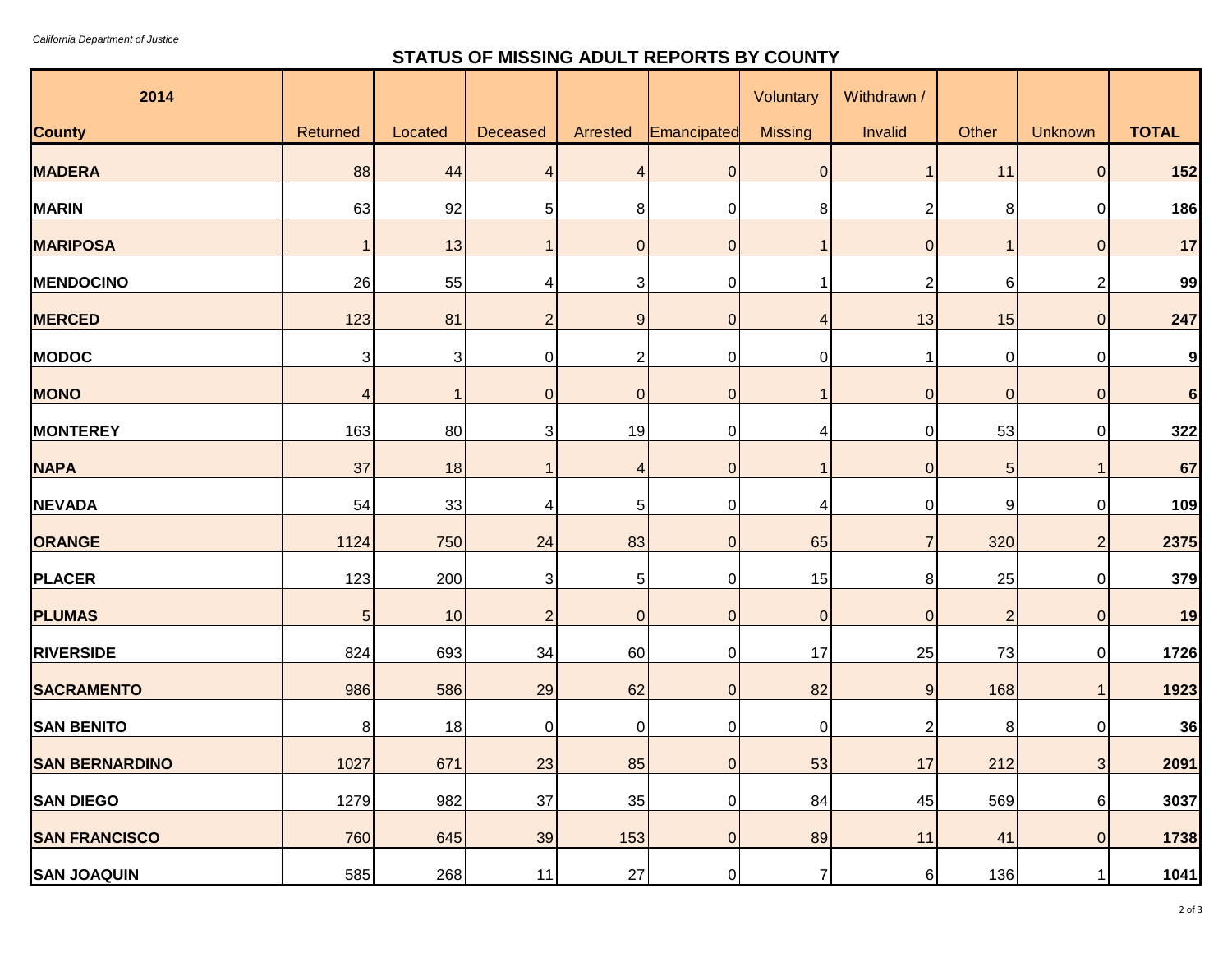## **STATUS OF MISSING ADULT REPORTS BY COUNTY**

| 2014                  |                 |         |                |                |                | Voluntary      | Withdrawn /    |                |                  |              |
|-----------------------|-----------------|---------|----------------|----------------|----------------|----------------|----------------|----------------|------------------|--------------|
| <b>County</b>         | Returned        | Located | Deceased       | Arrested       | Emancipated    | <b>Missing</b> | Invalid        | Other          | Unknown          | <b>TOTAL</b> |
| <b>MADERA</b>         | 88              | 44      | $\overline{4}$ | 4              | $\mathbf{0}$   | $\mathbf 0$    |                | 11             | 0                | $152$        |
| <b>MARIN</b>          | 63              | 92      | 5              | 8              | 0              | 8              | $\overline{c}$ | 8              | 0                | 186          |
| <b>MARIPOSA</b>       |                 | 13      |                | $\overline{0}$ | $\mathbf{0}$   |                | 0              | $\mathbf{1}$   | $\Omega$         | 17           |
| <b>MENDOCINO</b>      | 26              | 55      | 4              | 3              | 0              |                | $\overline{c}$ | 6              | 2                | 99           |
| <b>MERCED</b>         | 123             | 81      | $\overline{2}$ | 9              | $\mathbf{0}$   | 4              | 13             | 15             | $\Omega$         | 247          |
| <b>MODOC</b>          | 3               | 3       | $\mathbf 0$    | 2              | 0              | 0              | 1              | 0              | 0                | 9            |
| <b>MONO</b>           | 4               |         | $\mathbf 0$    | 0              | $\overline{0}$ |                | $\overline{0}$ | $\overline{0}$ | $\boldsymbol{0}$ | 6            |
| <b>MONTEREY</b>       | 163             | 80      | 3              | 19             | 0              | 4              | $\mathbf 0$    | 53             | $\mathbf 0$      | 322          |
| <b>NAPA</b>           | 37              | 18      |                | 4              | $\mathbf{0}$   |                | $\overline{0}$ | 5              |                  | 67           |
| <b>NEVADA</b>         | 54              | 33      | 4              | 5              | 0              | 4              | $\mathbf 0$    | 9              | $\mathbf 0$      | 109          |
| <b>ORANGE</b>         | 1124            | 750     | 24             | 83             | $\overline{0}$ | 65             | $\overline{7}$ | 320            | $\overline{2}$   | 2375         |
| <b>PLACER</b>         | 123             | 200     | 3              | 5              | 0              | 15             | 8              | 25             | 0                | 379          |
| <b>PLUMAS</b>         | $5\overline{)}$ | 10      | $\overline{2}$ | $\overline{0}$ | $\overline{0}$ | $\mathbf 0$    | $\overline{0}$ | $\overline{2}$ | $\overline{0}$   | 19           |
| <b>RIVERSIDE</b>      | 824             | 693     | 34             | 60             | 0              | 17             | 25             | 73             | $\mathbf 0$      | 1726         |
| <b>SACRAMENTO</b>     | 986             | 586     | 29             | 62             | $\overline{0}$ | 82             | 9              | 168            |                  | 1923         |
| <b>SAN BENITO</b>     | 8               | 18      | 0              | 0              | $\Omega$       | $\overline{0}$ | $\overline{c}$ | 8              | 0                | 36           |
| <b>SAN BERNARDINO</b> | 1027            | 671     | 23             | 85             | $\overline{O}$ | 53             | 17             | 212            | 3 <sup>1</sup>   | 2091         |
| <b>SAN DIEGO</b>      | 1279            | 982     | $37\,$         | 35             | $\overline{0}$ | 84             | 45             | 569            | $6 \mid$         | 3037         |
| <b>SAN FRANCISCO</b>  | 760             | 645     | 39             | 153            | $\overline{0}$ | 89             | 11             | 41             | $\overline{0}$   | 1738         |
| <b>SAN JOAQUIN</b>    | 585             | 268     | 11             | <b>27</b>      | $\Omega$       | $\overline{7}$ | 6              | 136            | 1                | 1041         |